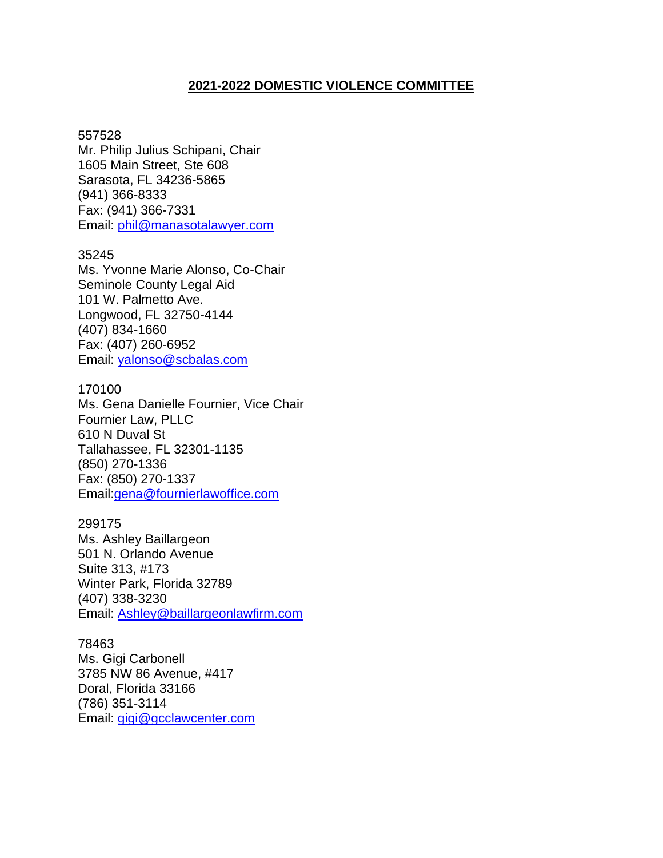# **2021-2022 DOMESTIC VIOLENCE COMMITTEE**

#### 557528

Mr. Philip Julius Schipani, Chair 1605 Main Street, Ste 608 Sarasota, FL 34236-5865 (941) 366-8333 Fax: (941) 366-7331 Email: [phil@manasotalawyer.com](mailto:phil@manasotalawyer.com)

#### 35245

Ms. Yvonne Marie Alonso, Co-Chair Seminole County Legal Aid 101 W. Palmetto Ave. Longwood, FL 32750-4144 (407) 834-1660 Fax: (407) 260-6952 Email: [yalonso@scbalas.com](mailto:yalonso@scbalas.com)

#### 170100

Ms. Gena Danielle Fournier, Vice Chair Fournier Law, PLLC 610 N Duval St Tallahassee, FL 32301-1135 (850) [270-1336](tel:850-270-1336) Fax: (850) 270-1337 Email[:gena@fournierlawoffice.com](mailto:gena@fournierlawoffice.com)

# 299175

Ms. Ashley Baillargeon 501 N. Orlando Avenue Suite 313, #173 Winter Park, Florida 32789 (407) 338-3230 Email: [Ashley@baillargeonlawfirm.com](mailto:Ashley@baillargeonlawfirm.com)

78463 Ms. Gigi Carbonell 3785 NW 86 Avenue, #417 Doral, Florida 33166 (786) 351-3114 Email: [gigi@gcclawcenter.com](mailto:gigi@gcclawcenter.com)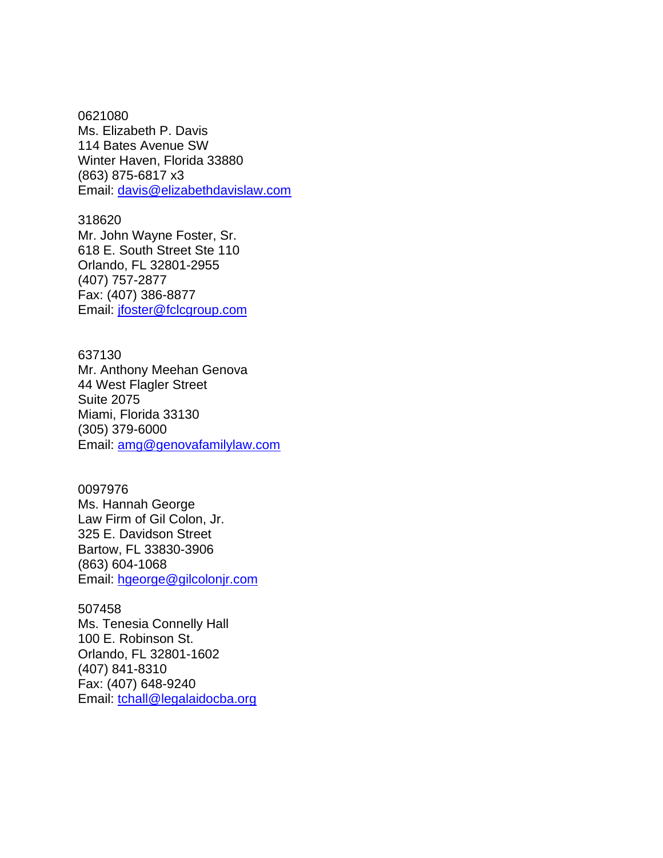0621080 Ms. Elizabeth P. Davis 114 Bates Avenue SW Winter Haven, Florida 33880 (863) 875-6817 x3 Email: [davis@elizabethdavislaw.com](mailto:davis@elizabethdavislaw.com)

318620 Mr. John Wayne Foster, Sr. 618 E. South Street Ste 110 Orlando, FL 32801-2955 (407) 757-2877 Fax: (407) 386-8877 Email: [jfoster@fclcgroup.com](mailto:jfoster@fclcgroup.com)

637130 Mr. Anthony Meehan Genova 44 West Flagler Street Suite 2075 Miami, Florida 33130 (305) 379-6000 Email: [amg@genovafamilylaw.com](mailto:amg@genovafamilylaw.com)

### 0097976

Ms. Hannah George Law Firm of Gil Colon, Jr. 325 E. Davidson Street Bartow, FL 33830-3906 (863) 604-1068 Email: [hgeorge@gilcolonjr.com](mailto:hgeorge@gilcolonjr.com) 

### 507458

Ms. Tenesia Connelly Hall 100 E. Robinson St. Orlando, FL 32801-1602 (407) 841-8310 Fax: (407) 648-9240 Email: [tchall@legalaidocba.org](mailto:tchall@legalaidocba.org)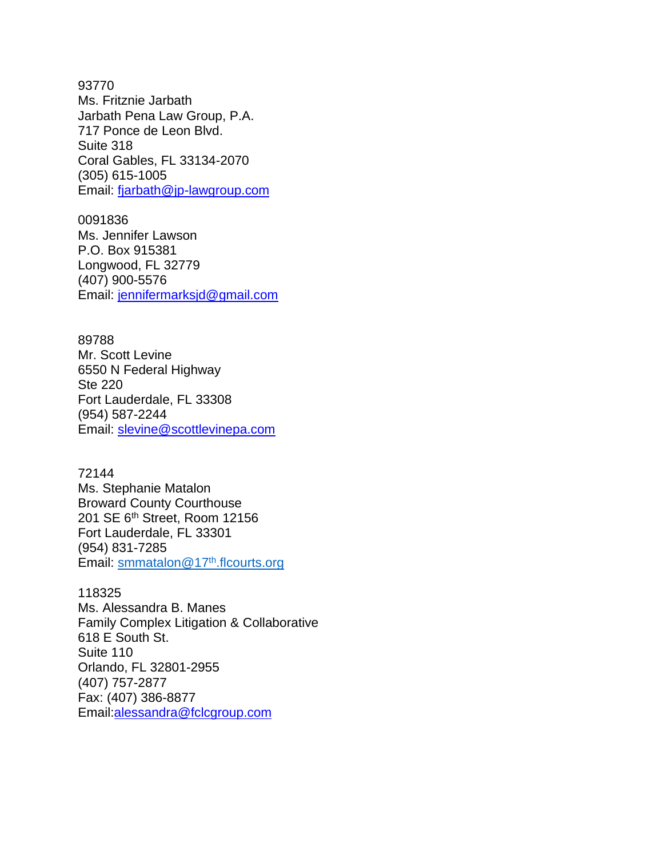93770 Ms. Fritznie Jarbath Jarbath Pena Law Group, P.A. 717 Ponce de Leon Blvd. Suite 318 Coral Gables, FL 33134-2070 (305) 615-1005 Email: [fjarbath@jp-lawgroup.com](mailto:fjarbath@jp-lawgroup.com)

0091836 Ms. Jennifer Lawson P.O. Box 915381 Longwood, FL 32779 (407) 900-5576 Email: [jennifermarksjd@gmail.com](mailto:jennifermarksjd@gmail.com)

89788 Mr. Scott Levine 6550 N Federal Highway Ste 220 Fort Lauderdale, FL 33308 (954) 587-2244 Email: [slevine@scottlevinepa.com](mailto:slevine@scottlevinepa.com)

72144 Ms. Stephanie Matalon Broward County Courthouse 201 SE 6th Street, Room 12156 Fort Lauderdale, FL 33301 (954) 831-7285 Email: [smmatalon@17](mailto:smmatalon@17th.flcourts.org)th.flcourts.org

### 118325

Ms. Alessandra B. Manes Family Complex Litigation & Collaborative 618 E South St. Suite 110 Orlando, FL 32801-2955 (407) [757-2877](tel:407-757-2877) Fax: (407) 386-8877 Email[:alessandra@fclcgroup.com](mailto:alessandra@fclcgroup.com)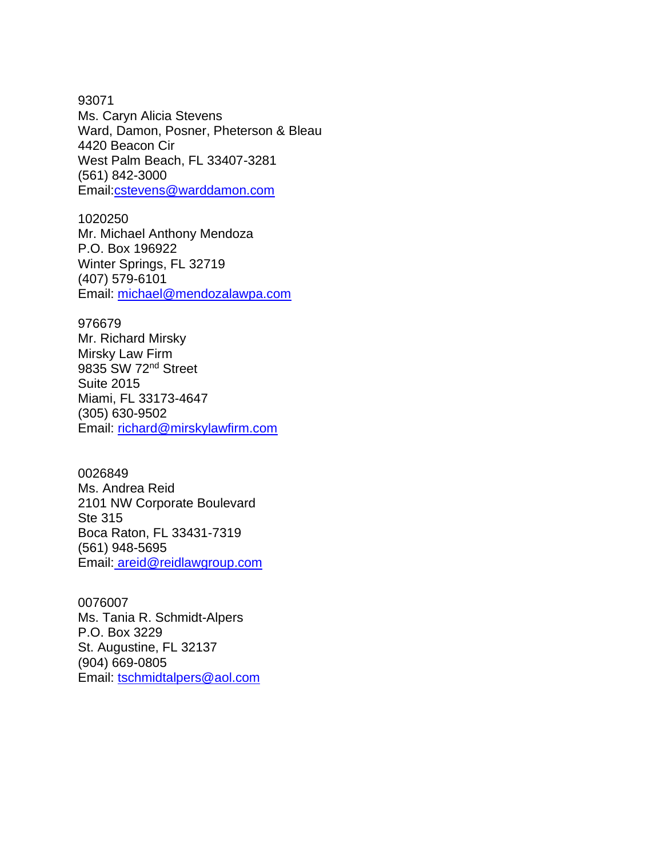93071 Ms. Caryn Alicia Stevens Ward, Damon, Posner, Pheterson & Bleau 4420 Beacon Cir West Palm Beach, FL 33407-3281 (561) [842-3000](tel:561-842-3000) Email[:cstevens@warddamon.com](mailto:cstevens@warddamon.com)

1020250 Mr. Michael Anthony Mendoza P.O. Box 196922 Winter Springs, FL 32719 (407) 579-6101 Email: [michael@mendozalawpa.com](mailto:michael@mendozalawpa.com)

### 976679

Mr. Richard Mirsky Mirsky Law Firm 9835 SW 72nd Street Suite 2015 Miami, FL 33173-4647 (305) 630-9502 Email: [richard@mirskylawfirm.com](mailto:richard@mirskylawfirm.com)

0026849

Ms. Andrea Reid 2101 NW Corporate Boulevard Ste 315 Boca Raton, FL 33431-7319 (561) 948-5695 Email: [areid@reidlawgroup.com](mailto:%20areid@reidlawgroup.com)

# 0076007

Ms. Tania R. Schmidt-Alpers P.O. Box 3229 St. Augustine, FL 32137 (904) 669-0805 Email: [tschmidtalpers@aol.com](mailto:tschmidtalpers@aol.com)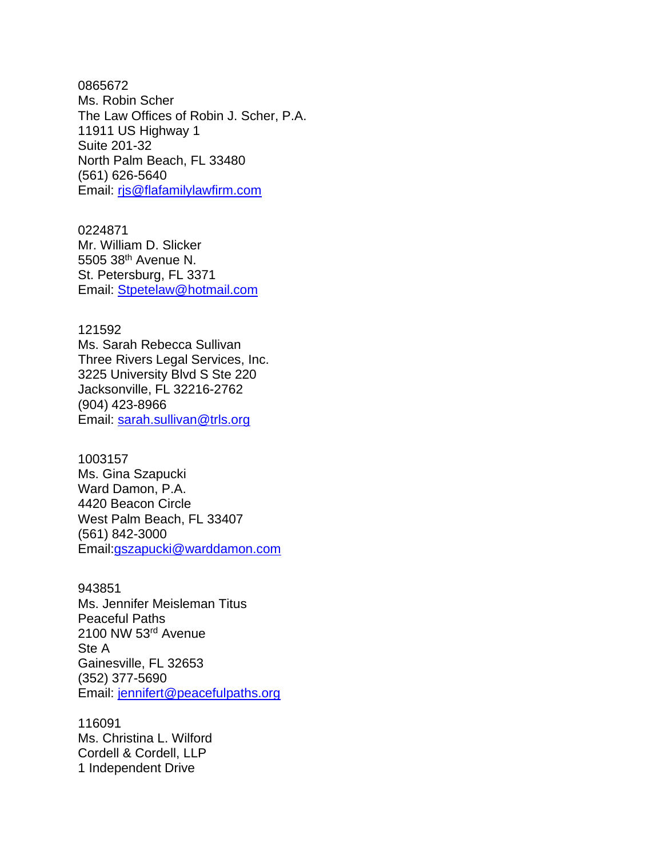0865672 Ms. Robin Scher The Law Offices of Robin J. Scher, P.A. 11911 US Highway 1 Suite 201-32 North Palm Beach, FL 33480 (561) 626-5640 Email: [rjs@flafamilylawfirm.com](mailto:rjs@flafamilylawfirm.com)

0224871 Mr. William D. Slicker 5505 38th Avenue N. St. Petersburg, FL 3371 Email: [Stpetelaw@hotmail.com](mailto:Stpetelaw@hotmail.com)

121592 Ms. Sarah Rebecca Sullivan Three Rivers Legal Services, Inc. 3225 University Blvd S Ste 220 Jacksonville, FL 32216-2762 (904) 423-8966 Email: [sarah.sullivan@trls.org](mailto:sarah.sullivan@trls.org)

1003157 Ms. Gina Szapucki Ward Damon, P.A. 4420 Beacon Circle West Palm Beach, FL 33407 (561) [842-3000](tel:561-622-1090)  Email[:gszapucki@warddamon.com](mailto:gszapucki@warddamon.com)

943851 Ms. Jennifer Meisleman Titus Peaceful Paths 2100 NW 53rd Avenue Ste A Gainesville, FL 32653 (352) 377-5690 Email: [jennifert@peacefulpaths.org](mailto:jennifert@peacefulpaths.org)

116091 Ms. Christina L. Wilford Cordell & Cordell, LLP 1 Independent Drive